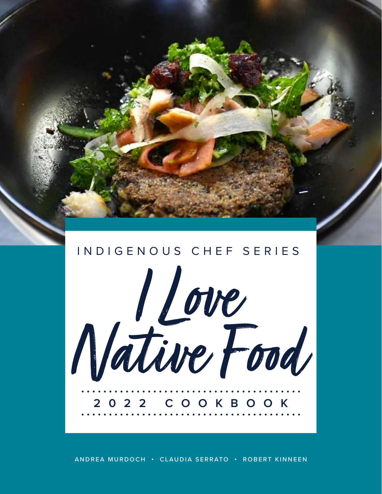

ANDREA MURDOCH • CLAUDIA SERRATO • ROBERT KINNEEN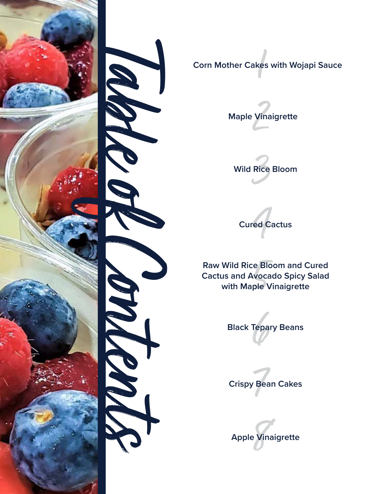



1 **Corn Mother Cakes with Wojapi Sauce**







5 **Raw Wild Rice Bloom and Cured Cactus and Avocado Spicy Salad with Maple Vinaigrette**





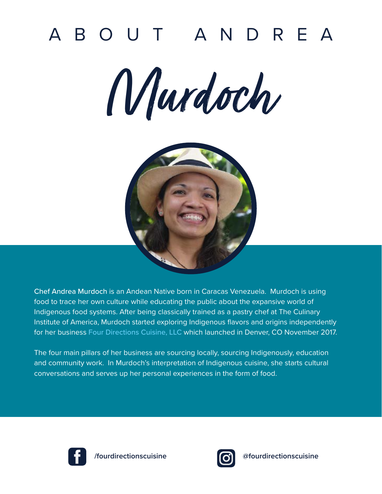# ABOUT ANDREA

Murdoch



Chef Andrea Murdoch is an Andean Native born in Caracas Venezuela. Murdoch is using food to trace her own culture while educating the public about the expansive world of Indigenous food systems. After being classically trained as a pastry chef at The Culinary Institute of America, Murdoch started exploring Indigenous flavors and origins independently for her business [Four Directions Cuisine, LLC](https://fourdirectionscuisine.com/) which launched in Denver, CO November 2017.

The four main pillars of her business are sourcing locally, sourcing Indigenously, education and community work. In Murdoch's interpretation of Indigenous cuisine, she starts cultural conversations and serves up her personal experiences in the form of food.





**/fourdirectionscuisine @fourdirectionscuisine**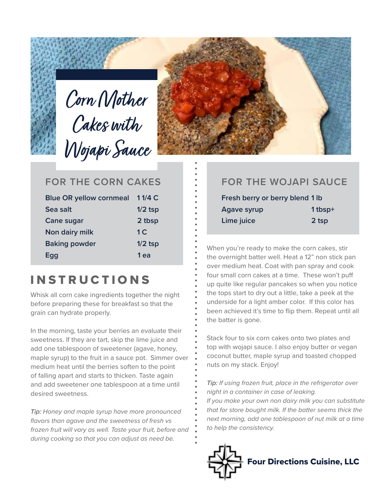



#### **FOR THE CORN CAKES**

| <b>Blue OR yellow cornmeal</b> | 11/4C          |
|--------------------------------|----------------|
| Sea salt                       | $1/2$ tsp      |
| Cane sugar                     | 2 tbsp         |
| Non dairy milk                 | 1 <sup>C</sup> |
| <b>Baking powder</b>           | $1/2$ tsp      |
| Egg                            | 1 ea           |

## **INSTRUCTIONS**

Whisk all corn cake ingredients together the night before preparing these for breakfast so that the grain can hydrate properly.

In the morning, taste your berries an evaluate their sweetness. If they are tart, skip the lime juice and add one tablespoon of sweetener (agave, honey, maple syrup) to the fruit in a sauce pot. Simmer over medium heat until the berries soften to the point of falling apart and starts to thicken. Taste again and add sweetener one tablespoon at a time until desired sweetness.

*Tip: Honey and maple syrup have more pronounced flavors than agave and the sweetness of fresh vs frozen fruit will vary as well. Taste your fruit, before and during cooking so that you can adjust as need be.*

#### **FOR THE WOJAPI SAUCE**

| Fresh berry or berry blend 1 lb |           |
|---------------------------------|-----------|
| <b>Agave syrup</b>              | $1$ tbsp+ |
| Lime juice                      | 2 tsp     |

When you're ready to make the corn cakes, stir the overnight batter well. Heat a 12" non stick pan over medium heat. Coat with pan spray and cook four small corn cakes at a time. These won't puff up quite like regular pancakes so when you notice the tops start to dry out a little, take a peek at the underside for a light amber color. If this color has been achieved it's time to flip them. Repeat until all the batter is gone.

Stack four to six corn cakes onto two plates and top with wojapi sauce. I also enjoy butter or vegan coconut butter, maple syrup and toasted chopped nuts on my stack. Enjoy!

*Tip: If using frozen fruit, place in the refrigerator over night in a container in case of leaking.*

*If you make your own non dairy milk you can substitute that for store bought milk. If the batter seems thick the next morning, add one tablespoon of nut milk at a time to help the consistency.*

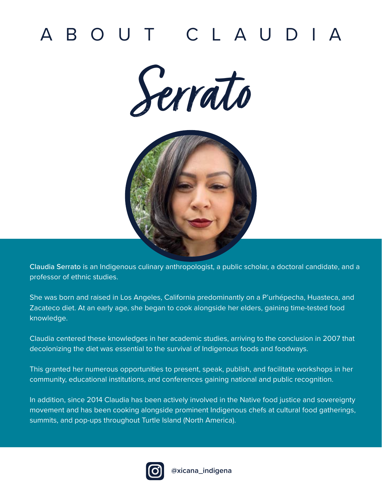# ABOUT CLAUDIA





Claudia Serrato is an Indigenous culinary anthropologist, a public scholar, a doctoral candidate, and a professor of ethnic studies.

She was born and raised in Los Angeles, California predominantly on a P'urhépecha, Huasteca, and Zacateco diet. At an early age, she began to cook alongside her elders, gaining time-tested food knowledge.

Claudia centered these knowledges in her academic studies, arriving to the conclusion in 2007 that decolonizing the diet was essential to the survival of Indigenous foods and foodways.

This granted her numerous opportunities to present, speak, publish, and facilitate workshops in her community, educational institutions, and conferences gaining national and public recognition.

In addition, since 2014 Claudia has been actively involved in the Native food justice and sovereignty movement and has been cooking alongside prominent Indigenous chefs at cultural food gatherings, summits, and pop-ups throughout Turtle Island (North America).

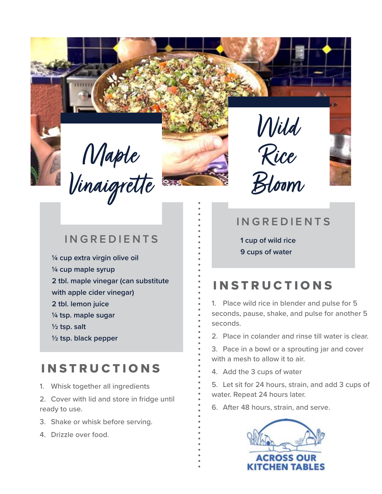Maple Vinaigrette





- **¼ cup extra virgin olive oil ¼ cup maple syrup 2 tbl. maple vinegar (can substitute with apple cider vinegar) 2 tbl. lemon juice ¼ tsp. maple sugar ½ tsp. salt**
- **½ tsp. black pepper**

## **INSTRUCTIONS**

- 1. Whisk together all ingredients
- 2. Cover with lid and store in fridge until ready to use.
- 3. Shake or whisk before serving.
- 4. Drizzle over food.

#### **INGREDIENTS**

**1 cup of wild rice 9 cups of water**

## **INSTRUCTIONS**

1. Place wild rice in blender and pulse for 5 seconds, pause, shake, and pulse for another 5 seconds.

2. Place in colander and rinse till water is clear.

3. Pace in a bowl or a sprouting jar and cover with a mesh to allow it to air.

4. Add the 3 cups of water

5. Let sit for 24 hours, strain, and add 3 cups of water. Repeat 24 hours later.

6. After 48 hours, strain, and serve.

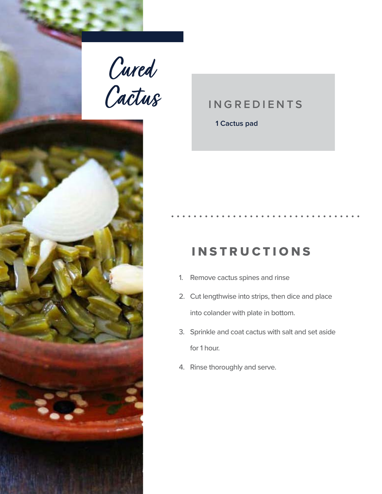Cured Cactus



**1 Cactus pad**

## INSTRUCTIONS

- 1. Remove cactus spines and rinse
- 2. Cut lengthwise into strips, then dice and place into colander with plate in bottom.
- 3. Sprinkle and coat cactus with salt and set aside for 1 hour.
- 4. Rinse thoroughly and serve.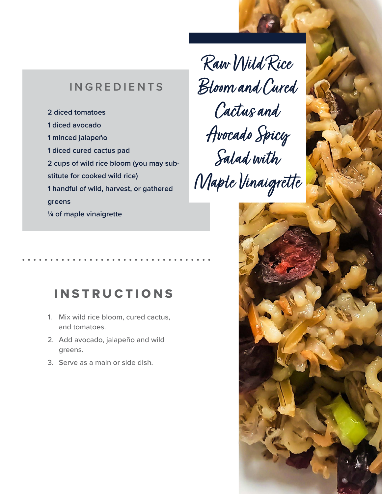**2 diced tomatoes 1 diced avocado 1 minced jalapeño 1 diced cured cactus pad 2 cups of wild rice bloom (you may substitute for cooked wild rice) 1 handful of wild, harvest, or gathered greens ¼ of maple vinaigrette**

Raw Wild Rice Bloom and Cured Cactus and Avocado Spicy Salad with Maple Vinaigrette

### **INSTRUCTIONS**

- 1. Mix wild rice bloom, cured cactus, and tomatoes.
- 2. Add avocado, jalapeño and wild greens.
- 3. Serve as a main or side dish.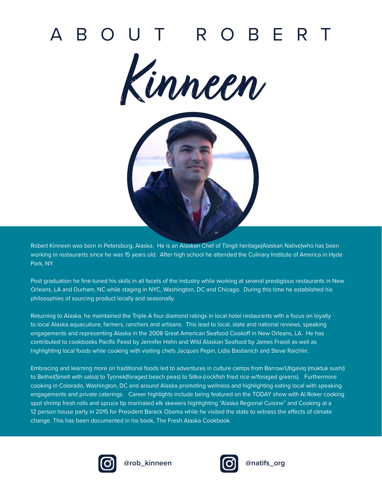# ABOUT ROBERT





Robert Kinneen was born in Petersburg, Alaska. He is an Alaskan Chef of Tlingit heritage(Alaskan Native)who has been working in restaurants since he was 15 years old. After high school he attended the Culinary Institute of America in Hyde Park, NY.

Post graduation he fine-tuned his skills in all facets of the industry while working at several prestigious restaurants in New Orleans, LA and Durham, NC while staging in NYC, Washington, DC and Chicago. During this time he established his philosophies of sourcing product locally and seasonally.

Returning to Alaska, he maintained the Triple A four diamond ratings in local hotel restaurants with a focus on loyalty to local Alaska aquaculture, farmers, ranchers and artisans. This lead to local, state and national reviews, speaking engagements and representing Alaska in the 2008 Great American Seafood Cookoff in New Orleans, LA. He has contributed to cookbooks Pacific Feast by Jennifer Hahn and Wild Alaskan Seafood by James Fraioli as well as highlighting local foods while cooking with visiting chefs Jacques Pepin, Lidia Bastianich and Steve Raichlin.

Embracing and learning more on traditional foods led to adventures in culture camps from Barrow/Utigaviq (muktuk sushi) to Bethel(Smelt with salsa) to Tyonek(foraged beach peas) to Sitka-(rockfish fried rice w/foraged greens). Furthermore cooking in Colorado, Washington, DC and around Alaska promoting wellness and highlighting eating local with speaking engagements and private caterings. Career highlights include being featured on the TODAY show with Al Roker cooking spot shrimp fresh rolls and spruce tip marinated elk skewers highlighting "Alaska Regional Cuisine" and Cooking at a 12 person house party in 2015 for President Barack Obama while he visited the state to witness the effects of climate change. This has been documented in his book, The Fresh Alaska Cookbook.



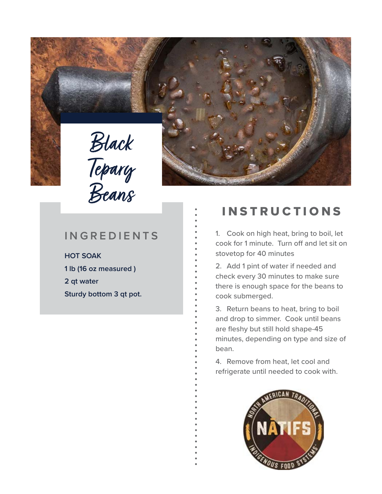



**HOT SOAK 1 lb (16 oz measured ) 2 qt water Sturdy bottom 3 qt pot.** 

## **INSTRUCTIONS**

1. Cook on high heat, bring to boil, let cook for 1 minute. Turn off and let sit on stovetop for 40 minutes

2. Add 1 pint of water if needed and check every 30 minutes to make sure there is enough space for the beans to cook submerged.

3. Return beans to heat, bring to boil and drop to simmer. Cook until beans are fleshy but still hold shape-45 minutes, depending on type and size of bean.

4. Remove from heat, let cool and refrigerate until needed to cook with.

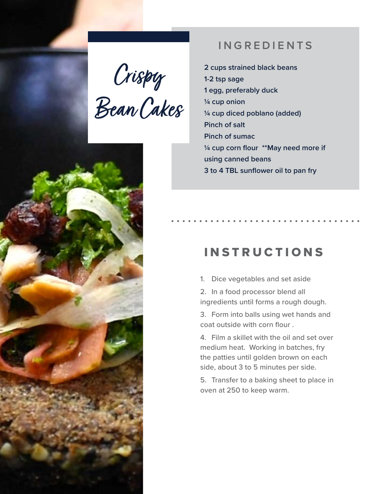Crispy Bean Cakes



**2 cups strained black beans 1-2 tsp sage 1 egg, preferably duck ¼ cup onion ¼ cup diced poblano (added) Pinch of salt Pinch of sumac ¼ cup corn flour \*\*May need more if using canned beans 3 to 4 TBL sunflower oil to pan fry** 

## **INSTRUCTIONS**

- 1. Dice vegetables and set aside
- 2. In a food processor blend all ingredients until forms a rough dough.
- 3. Form into balls using wet hands and coat outside with corn flour .
- 4. Film a skillet with the oil and set over medium heat. Working in batches, fry the patties until golden brown on each side, about 3 to 5 minutes per side.
- 5. Transfer to a baking sheet to place in oven at 250 to keep warm.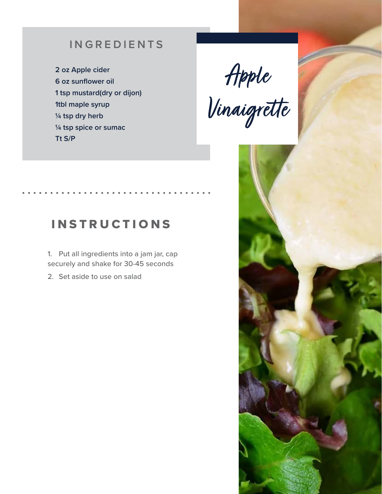**2 oz Apple cider 6 oz sunflower oil 1 tsp mustard(dry or dijon) 1tbl maple syrup ¼ tsp dry herb ¼ tsp spice or sumac Tt S/P** 

Apple Vinaigrette

## INSTRUCTIONS

1. Put all ingredients into a jam jar, cap securely and shake for 30-45 seconds

2. Set aside to use on salad